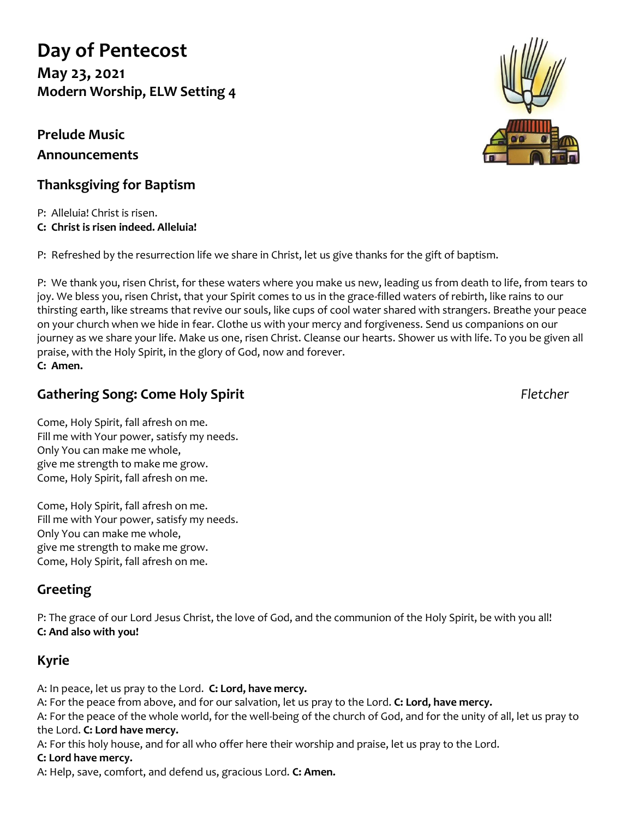# **Day of Pentecost**

**May 23, 2021 Modern Worship, ELW Setting 4**

## **Prelude Music Announcements**

## **Thanksgiving for Baptism**

P: Alleluia! Christ is risen. **C: Christ is risen indeed. Alleluia!**

P: Refreshed by the resurrection life we share in Christ, let us give thanks for the gift of baptism.

P: We thank you, risen Christ, for these waters where you make us new, leading us from death to life, from tears to joy. We bless you, risen Christ, that your Spirit comes to us in the grace-filled waters of rebirth, like rains to our thirsting earth, like streams that revive our souls, like cups of cool water shared with strangers. Breathe your peace on your church when we hide in fear. Clothe us with your mercy and forgiveness. Send us companions on our journey as we share your life. Make us one, risen Christ. Cleanse our hearts. Shower us with life. To you be given all praise, with the Holy Spirit, in the glory of God, now and forever. **C: Amen.**

## **Gathering Song: Come Holy Spirit** *Fletcher*

Come, Holy Spirit, fall afresh on me. Fill me with Your power, satisfy my needs. Only You can make me whole, give me strength to make me grow. Come, Holy Spirit, fall afresh on me.

Come, Holy Spirit, fall afresh on me. Fill me with Your power, satisfy my needs. Only You can make me whole, give me strength to make me grow. Come, Holy Spirit, fall afresh on me.

## **Greeting**

P: The grace of our Lord Jesus Christ, the love of God, and the communion of the Holy Spirit, be with you all! **C: And also with you!**

## **Kyrie**

A: In peace, let us pray to the Lord. **C: Lord, have mercy.**

A: For the peace from above, and for our salvation, let us pray to the Lord. **C: Lord, have mercy.**

A: For the peace of the whole world, for the well-being of the church of God, and for the unity of all, let us pray to the Lord. **C: Lord have mercy.**

A: For this holy house, and for all who offer here their worship and praise, let us pray to the Lord.

#### **C: Lord have mercy.**

A: Help, save, comfort, and defend us, gracious Lord. **C: Amen.**

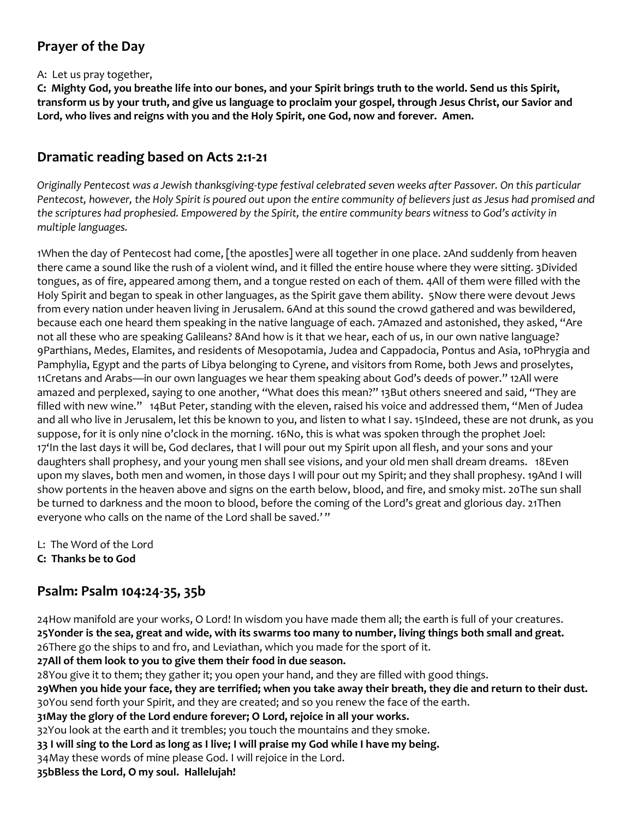## **Prayer of the Day**

#### A: Let us pray together,

**C: Mighty God, you breathe life into our bones, and your Spirit brings truth to the world. Send us this Spirit, transform us by your truth, and give us language to proclaim your gospel, through Jesus Christ, our Savior and Lord, who lives and reigns with you and the Holy Spirit, one God, now and forever. Amen.**

#### **Dramatic reading based on Acts 2:1-21**

*Originally Pentecost was a Jewish thanksgiving-type festival celebrated seven weeks after Passover. On this particular Pentecost, however, the Holy Spirit is poured out upon the entire community of believers just as Jesus had promised and the scriptures had prophesied. Empowered by the Spirit, the entire community bears witness to God's activity in multiple languages.*

1When the day of Pentecost had come, [the apostles] were all together in one place. 2And suddenly from heaven there came a sound like the rush of a violent wind, and it filled the entire house where they were sitting. 3Divided tongues, as of fire, appeared among them, and a tongue rested on each of them. 4All of them were filled with the Holy Spirit and began to speak in other languages, as the Spirit gave them ability. 5Now there were devout Jews from every nation under heaven living in Jerusalem. 6And at this sound the crowd gathered and was bewildered, because each one heard them speaking in the native language of each. 7Amazed and astonished, they asked, "Are not all these who are speaking Galileans? 8And how is it that we hear, each of us, in our own native language? 9Parthians, Medes, Elamites, and residents of Mesopotamia, Judea and Cappadocia, Pontus and Asia, 10Phrygia and Pamphylia, Egypt and the parts of Libya belonging to Cyrene, and visitors from Rome, both Jews and proselytes, 11Cretans and Arabs—in our own languages we hear them speaking about God's deeds of power." 12All were amazed and perplexed, saying to one another, "What does this mean?" 13But others sneered and said, "They are filled with new wine." 14But Peter, standing with the eleven, raised his voice and addressed them, "Men of Judea and all who live in Jerusalem, let this be known to you, and listen to what I say. 15Indeed, these are not drunk, as you suppose, for it is only nine o'clock in the morning. 16No, this is what was spoken through the prophet Joel: 17'In the last days it will be, God declares, that I will pour out my Spirit upon all flesh, and your sons and your daughters shall prophesy, and your young men shall see visions, and your old men shall dream dreams. 18Even upon my slaves, both men and women, in those days I will pour out my Spirit; and they shall prophesy. 19And I will show portents in the heaven above and signs on the earth below, blood, and fire, and smoky mist. 20The sun shall be turned to darkness and the moon to blood, before the coming of the Lord's great and glorious day. 21Then everyone who calls on the name of the Lord shall be saved.' "

- L: The Word of the Lord
- **C: Thanks be to God**

### **Psalm: Psalm 104:24-35, 35b**

24How manifold are your works, O Lord! In wisdom you have made them all; the earth is full of your creatures. **25Yonder is the sea, great and wide, with its swarms too many to number, living things both small and great.** 26There go the ships to and fro, and Leviathan, which you made for the sport of it.

**27All of them look to you to give them their food in due season.** 28You give it to them; they gather it; you open your hand, and they are filled with good things.

**29When you hide your face, they are terrified; when you take away their breath, they die and return to their dust.** 30You send forth your Spirit, and they are created; and so you renew the face of the earth.

**31May the glory of the Lord endure forever; O Lord, rejoice in all your works.**

32You look at the earth and it trembles; you touch the mountains and they smoke.

**33 I will sing to the Lord as long as I live; I will praise my God while I have my being.**

34May these words of mine please God. I will rejoice in the Lord.

**35bBless the Lord, O my soul. Hallelujah!**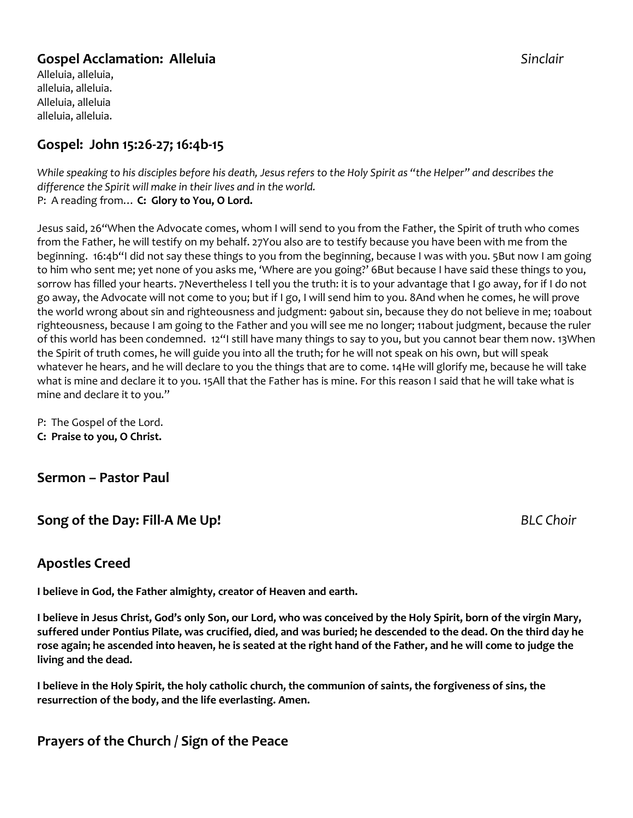#### **Gospel Acclamation: Alleluia** *Sinclair*

Alleluia, alleluia, alleluia, alleluia. Alleluia, alleluia alleluia, alleluia.

### **Gospel: John 15:26-27; 16:4b-15**

*While speaking to his disciples before his death, Jesus refers to the Holy Spirit as "the Helper" and describes the difference the Spirit will make in their lives and in the world.* P: A reading from… **C: Glory to You, O Lord.**

Jesus said, 26"When the Advocate comes, whom I will send to you from the Father, the Spirit of truth who comes from the Father, he will testify on my behalf. 27You also are to testify because you have been with me from the beginning. 16:4b"I did not say these things to you from the beginning, because I was with you. 5But now I am going to him who sent me; yet none of you asks me, 'Where are you going?' 6But because I have said these things to you, sorrow has filled your hearts. 7Nevertheless I tell you the truth: it is to your advantage that I go away, for if I do not go away, the Advocate will not come to you; but if I go, I will send him to you. 8And when he comes, he will prove the world wrong about sin and righteousness and judgment: 9about sin, because they do not believe in me; 10about righteousness, because I am going to the Father and you will see me no longer; 11about judgment, because the ruler of this world has been condemned. 12"I still have many things to say to you, but you cannot bear them now. 13When the Spirit of truth comes, he will guide you into all the truth; for he will not speak on his own, but will speak whatever he hears, and he will declare to you the things that are to come. 14He will glorify me, because he will take what is mine and declare it to you. 15All that the Father has is mine. For this reason I said that he will take what is mine and declare it to you."

P: The Gospel of the Lord. **C: Praise to you, O Christ.**

**Sermon – Pastor Paul**

**Song of the Day: Fill-A Me Up!** *BLC Choir*

#### **Apostles Creed**

**I believe in God, the Father almighty, creator of Heaven and earth.** 

**I believe in Jesus Christ, God's only Son, our Lord, who was conceived by the Holy Spirit, born of the virgin Mary, suffered under Pontius Pilate, was crucified, died, and was buried; he descended to the dead. On the third day he rose again; he ascended into heaven, he is seated at the right hand of the Father, and he will come to judge the living and the dead.**

**I believe in the Holy Spirit, the holy catholic church, the communion of saints, the forgiveness of sins, the resurrection of the body, and the life everlasting. Amen.**

#### **Prayers of the Church / Sign of the Peace**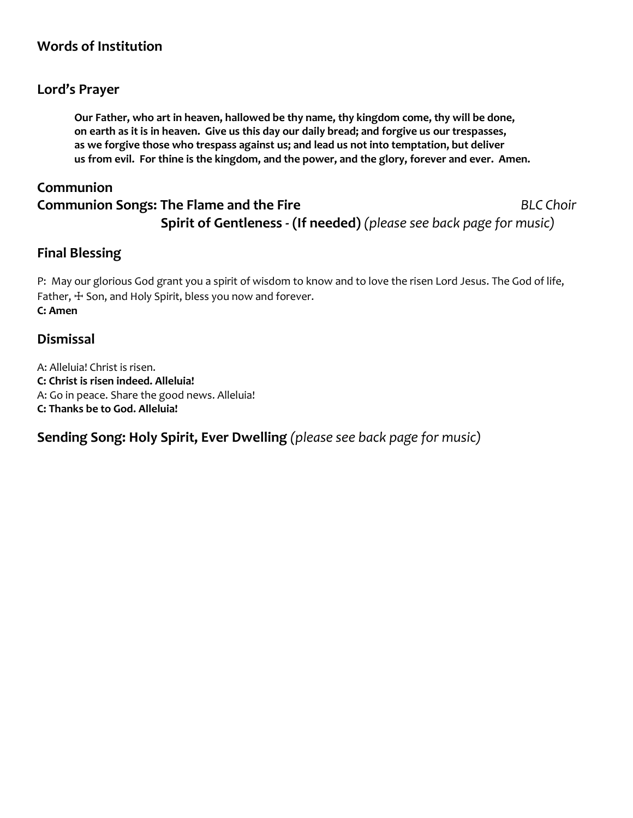### **Words of Institution**

#### **Lord's Prayer**

**Our Father, who art in heaven, hallowed be thy name, thy kingdom come, thy will be done, on earth as it is in heaven. Give us this day our daily bread; and forgive us our trespasses, as we forgive those who trespass against us; and lead us not into temptation, but deliver us from evil. For thine is the kingdom, and the power, and the glory, forever and ever. Amen.**

## **Communion Communion Songs: The Flame and the Fire** *BLC Choir* **Spirit of Gentleness - (If needed)** *(please see back page for music)*

#### **Final Blessing**

P: May our glorious God grant you a spirit of wisdom to know and to love the risen Lord Jesus. The God of life, Father,  $\pm$  Son, and Holy Spirit, bless you now and forever. **C: Amen**

#### **Dismissal**

A: Alleluia! Christ is risen. **C: Christ is risen indeed. Alleluia!** A: Go in peace. Share the good news. Alleluia! **C: Thanks be to God. Alleluia!**

**Sending Song: Holy Spirit, Ever Dwelling** *(please see back page for music)*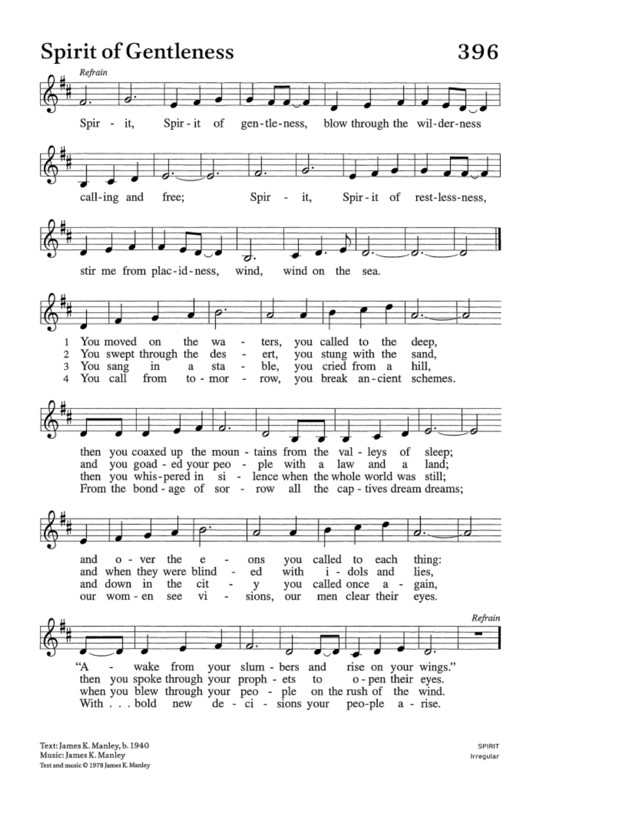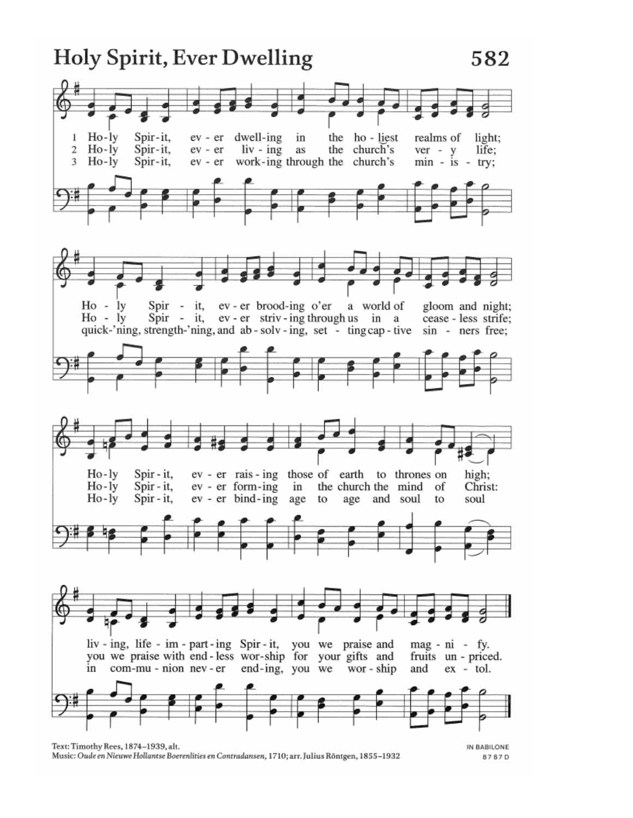

Music: Oude en Nieuwe Hollantse Boerenlities en Contradansen, 1710; arr. Julius Röntgen, 1855-1932

8787D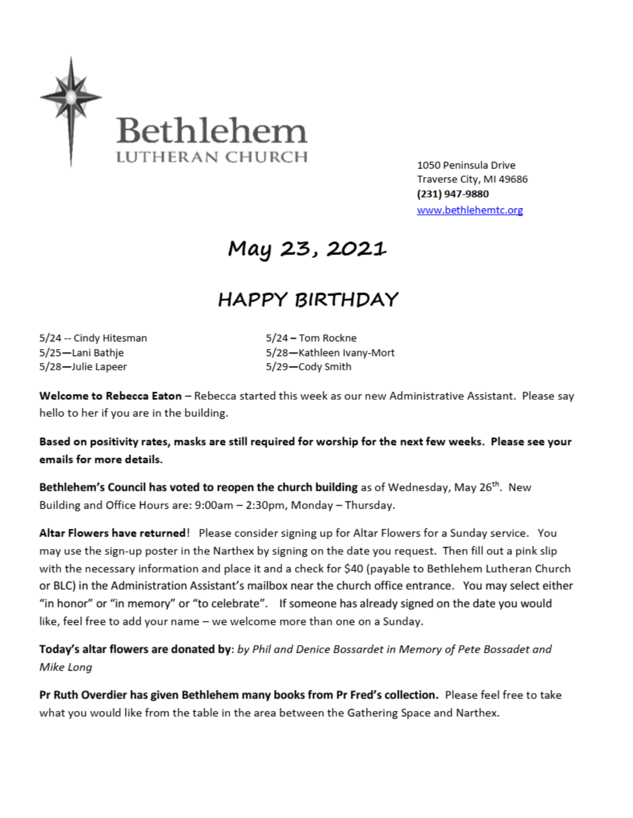

1050 Peninsula Drive Traverse City, MI 49686 (231) 947-9880 www.bethlehemtc.org

# May 23, 2021

## **HAPPY BIRTHDAY**

5/24 -- Cindy Hitesman 5/25-Lani Bathje 5/28-Julie Lapeer

5/24 - Tom Rockne 5/28-Kathleen Ivany-Mort 5/29-Cody Smith

Welcome to Rebecca Eaton - Rebecca started this week as our new Administrative Assistant. Please say hello to her if you are in the building.

Based on positivity rates, masks are still required for worship for the next few weeks. Please see your emails for more details.

Bethlehem's Council has voted to reopen the church building as of Wednesday, May 26<sup>th</sup>. New Building and Office Hours are: 9:00am - 2:30pm, Monday - Thursday.

Altar Flowers have returned! Please consider signing up for Altar Flowers for a Sunday service. You may use the sign-up poster in the Narthex by signing on the date you request. Then fill out a pink slip with the necessary information and place it and a check for \$40 (payable to Bethlehem Lutheran Church or BLC) in the Administration Assistant's mailbox near the church office entrance. You may select either "in honor" or "in memory" or "to celebrate". If someone has already signed on the date you would like, feel free to add your name - we welcome more than one on a Sunday.

Today's altar flowers are donated by: by Phil and Denice Bossardet in Memory of Pete Bossadet and Mike Long

Pr Ruth Overdier has given Bethlehem many books from Pr Fred's collection. Please feel free to take what you would like from the table in the area between the Gathering Space and Narthex.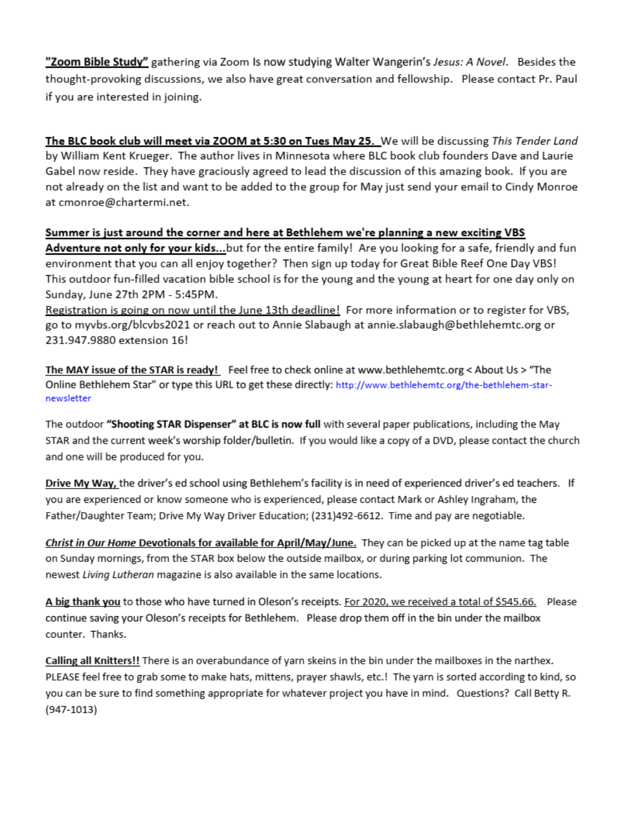"Zoom Bible Study" gathering via Zoom Is now studying Walter Wangerin's Jesus: A Novel. Besides the thought-provoking discussions, we also have great conversation and fellowship. Please contact Pr. Paul if you are interested in joining.

The BLC book club will meet via ZOOM at 5:30 on Tues May 25. We will be discussing This Tender Land by William Kent Krueger. The author lives in Minnesota where BLC book club founders Dave and Laurie Gabel now reside. They have graciously agreed to lead the discussion of this amazing book. If you are not already on the list and want to be added to the group for May just send your email to Cindy Monroe at cmonroe@chartermi.net.

#### Summer is just around the corner and here at Bethlehem we're planning a new exciting VBS

Adventure not only for your kids...but for the entire family! Are you looking for a safe, friendly and fun environment that you can all enjoy together? Then sign up today for Great Bible Reef One Day VBS! This outdoor fun-filled vacation bible school is for the young and the young at heart for one day only on Sunday, June 27th 2PM - 5:45PM.

Registration is going on now until the June 13th deadline! For more information or to register for VBS, go to myvbs.org/blcvbs2021 or reach out to Annie Slabaugh at annie.slabaugh@bethlehemtc.org or 231.947.9880 extension 16!

The MAY issue of the STAR is ready! Feel free to check online at www.bethlehemtc.org < About Us > "The Online Bethlehem Star" or type this URL to get these directly: http://www.bethlehemtc.org/the-bethlehem-starnewsletter

The outdoor "Shooting STAR Dispenser" at BLC is now full with several paper publications, including the May STAR and the current week's worship folder/bulletin. If you would like a copy of a DVD, please contact the church and one will be produced for you.

Drive My Way, the driver's ed school using Bethlehem's facility is in need of experienced driver's ed teachers. If you are experienced or know someone who is experienced, please contact Mark or Ashley Ingraham, the Father/Daughter Team; Drive My Way Driver Education; (231)492-6612. Time and pay are negotiable.

Christ in Our Home Devotionals for available for April/May/June. They can be picked up at the name tag table on Sunday mornings, from the STAR box below the outside mailbox, or during parking lot communion. The newest Living Lutheran magazine is also available in the same locations.

A big thank you to those who have turned in Oleson's receipts. For 2020, we received a total of \$545.66. Please continue saving your Oleson's receipts for Bethlehem. Please drop them off in the bin under the mailbox counter. Thanks.

Calling all Knitters!! There is an overabundance of yarn skeins in the bin under the mailboxes in the narthex. PLEASE feel free to grab some to make hats, mittens, prayer shawls, etc.! The yarn is sorted according to kind, so you can be sure to find something appropriate for whatever project you have in mind. Questions? Call Betty R.  $(947-1013)$